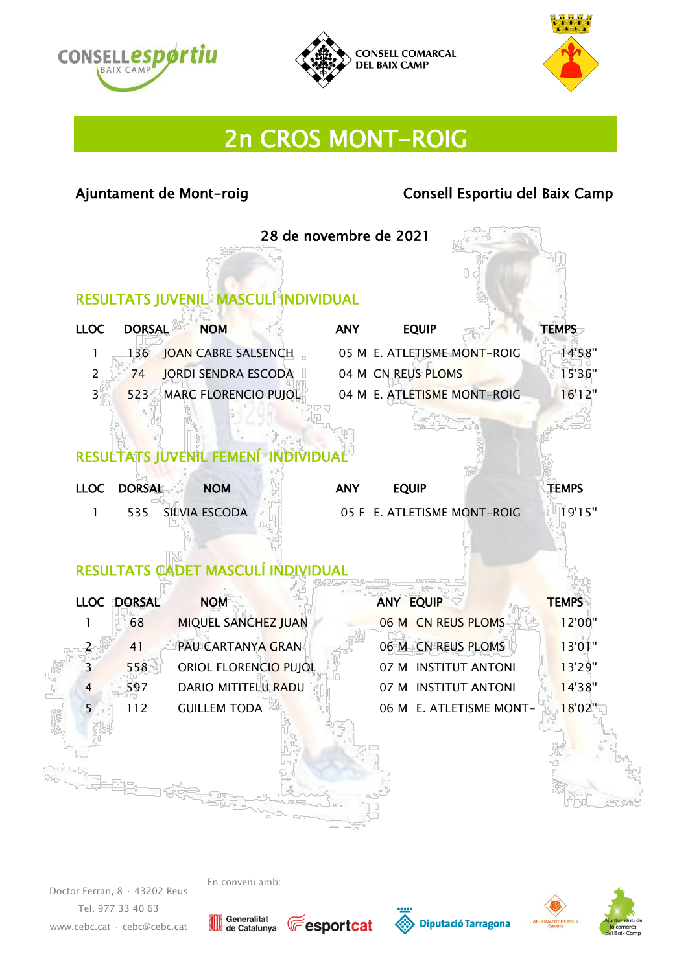





# 2n CROS MONT-ROIG

#### Ajuntament de Mont-roig de Consell Esportiu del Baix Camp

28 de novembre de 2021

#### RESULTATS JUVENIL MASCULÍ INDIVIDUAL 22

| <b>LLOC</b> | DORSAL | <b>NOM</b>               | <b>ANY</b> | <b>EOUIP</b>                | <b>TEMPS</b> |
|-------------|--------|--------------------------|------------|-----------------------------|--------------|
|             |        | 136 JOAN CABRE SALSENCH  |            | 05 M E. ATLETISME MONT-ROIG | 14'58''      |
|             |        | 74 JORDI SENDRA ESCODA   |            | 04 M CN REUS PLOMS          | 15'36"       |
| $3 - 1$     |        | 523 MARC FLORENCIO PUJOL |            | 04 M E. ATLETISME MONT-ROIG | 16'12"       |

#### RESULTATS JUVENIL FEMENÍ INDIVIDUAL

| LLOC DORSAL | <b>NOM</b>        | <b>ANY</b><br><b>EOUIP</b>  | <b>TEMPS</b> |
|-------------|-------------------|-----------------------------|--------------|
|             | 535 SILVIA ESCODA | 05 F E. ATLETISME MONT-ROIG | 19'15''      |

## RESULTATS CADET MASCULÍ INDIVIDUAL

| <b>LLOC</b> | <b>DORSAL</b> | <b>NOM</b>            | <b>ANY EQUIP</b>        | <b>TEMPS</b> |
|-------------|---------------|-----------------------|-------------------------|--------------|
|             | 68            | MIQUEL SANCHEZ JUAN   | 06 M CN REUS PLOMS      | 12'00"       |
| 2           | 41            | PAU CARTANYA GRAN     | 06 M CN REUS PLOMS      | 13'01"       |
| 3           | 558           | ORIOL FLORENCIO PUJOL | 07 M INSTITUT ANTONI    | 13'29"       |
| 4           | 597           | DARIO MITITELU RADU   | 07 M INSTITUT ANTONI    | 14'38"       |
| 5           | 112           | <b>GUILLEM TODA</b>   | 06 M E. ATLETISME MONT- | 8'02"        |
|             |               |                       |                         |              |

Doctor Ferran, 8 · 43202 Reus Tel. 977 33 40 63 [www.cebc.cat](http://www.cebc.cat/) · [cebc@cebc.cat](mailto:cebc@cebc.cat)









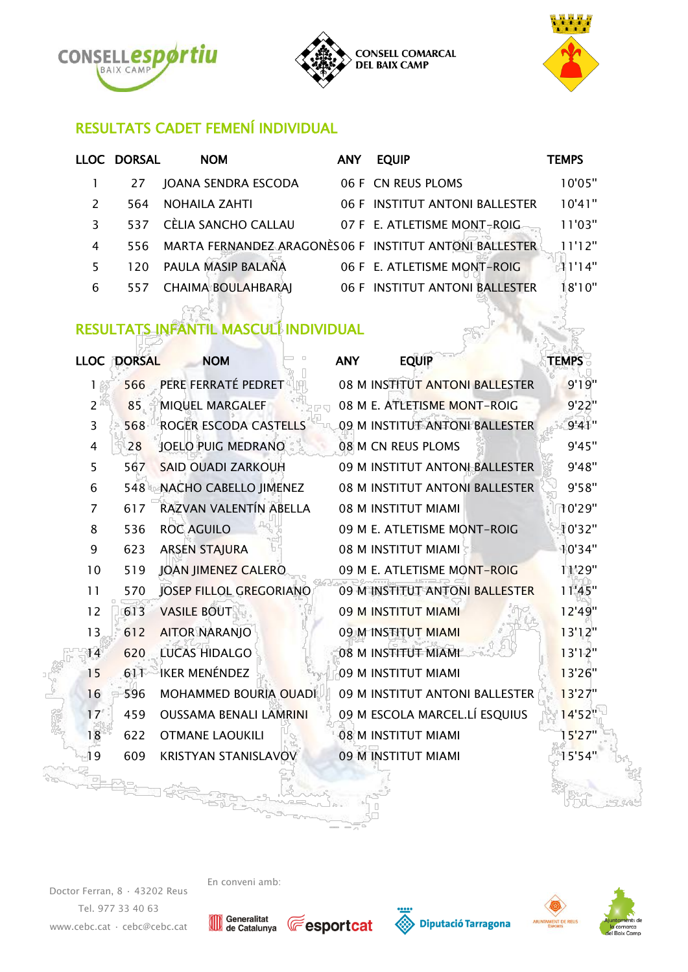





## RESULTATS CADET FEMENÍ INDIVIDUAL

|               | LLOC DORSAL | <b>NOM</b>                                             | <b>ANY</b> | <b>EQUIP</b>                   | <b>TEMPS</b> |
|---------------|-------------|--------------------------------------------------------|------------|--------------------------------|--------------|
|               | 27          | JOANA SENDRA ESCODA                                    |            | 06 F CN REUS PLOMS             | 10'05"       |
| $\mathcal{L}$ | 564         | <b>NOHAILA ZAHTI</b>                                   |            | 06 F INSTITUT ANTONI BALLESTER | 10'41"       |
| 3             | 537         | CÈLIA SANCHO CALLAU                                    |            | 07 F E. ATLETISME MONT-ROIG    | 11'03"       |
| 4             | 556.        | MARTA FERNANDEZ ARAGONÈS06 F INSTITUT ANTONI BALLESTER |            |                                | 11'12"       |
| 5             | 120.        | PAULA MASIP BALAÑA                                     |            | 06 F E. ATLETISME MONT-ROIG    | 11'14"       |
| 6             | 557         | <b>CHAIMA BOULAHBARAJ</b>                              |            | 06 F INSTITUT ANTONI BALLESTER | 18'10"       |

## RESULTATS INFANTIL MASCULÍ INDIVIDUAL

| <b>LLOC</b> | <b>DORSAL</b> | <b>NOM</b>                     | <b>ANY</b> | <b>EQUIP</b>                   | <b>TEMPS</b> |
|-------------|---------------|--------------------------------|------------|--------------------------------|--------------|
| 1           | 566           | PERE FERRATÉ PEDRET            |            | 08 M INSTITUT ANTONI BALLESTER | 9'19''       |
| 2           | 85            | <b>MIQUEL MARGALEF</b>         |            | 08 M E. ATLETISME MONT-ROIG    | 9'22"        |
| 3           | 568           | ROGER ESCODA CASTELLS          |            | 09 M INSTITUT ANTONI BALLESTER | 9'41"        |
| 4           | 28            | <b>JOELO PUIG MEDRANO</b>      |            | 08 M CN REUS PLOMS             | 9'45"        |
| 5           | 567           | <b>SAID OUADI ZARKOUH</b>      |            | 09 M INSTITUT ANTONI BALLESTER | 9'48"        |
| 6           | 548           | NACHO CABELLO JIMENEZ          |            | 08 M INSTITUT ANTONI BALLESTER | 9'58"        |
| 7           | 617           | RAZVAN VALENTÍN ABELLA         |            | 08 M INSTITUT MIAMI            | 10'29"       |
| 8           | 536           | <b>ROC AGUILO</b>              |            | 09 M E. ATLETISME MONT-ROIG    | 10'32"       |
| 9           | 623           | <b>ARSEN STAJURA</b>           |            | 08 M INSTITUT MIAMI            | 10'34"       |
| 10          | 519           | <b>JOAN JIMENEZ CALERO</b>     |            | 09 M E. ATLETISME MONT-ROIG    | 11'29"       |
| 11          | 570           | <b>JOSEP FILLOL GREGORIANO</b> |            | 09 M INSTITUT ANTONI BALLESTER | 11'45"       |
| 12          | 613           | <b>VASILE BOUT</b>             |            | 09 M INSTITUT MIAMI            | 12'49"       |
| 13          | 612           | <b>AITOR NARANJO</b>           |            | 09 M INSTITUT MIAMI            | 13'12"       |
| 14          | 620           | <b>LUCAS HIDALGO</b>           |            | 08 M INSTITUT MIAMI            | 13'12"       |
| 15          | 611           | <b>IKER MENÉNDEZ</b>           |            | 09 M INSTITUT MIAMI            | 13'26"       |
| 16          | 596           | <b>MOHAMMED BOURIA OUADI</b>   |            | 09 M INSTITUT ANTONI BALLESTER | 13'27"       |
| 17          | 459           | <b>OUSSAMA BENALI LAMRINI</b>  |            | 09 M ESCOLA MARCEL.LÍ ESQUIUS  | 14'52"       |
| 18          | 622           | <b>OTMANE LAOUKILI</b>         |            | 08 M INSTITUT MIAMI            | 15'27"       |
| 19          | 609           | <b>KRISTYAN STANISLAVOV</b>    |            | 09 M INSTITUT MIAMI            | 15'54"       |

Doctor Ferran, 8 · 43202 Reus Tel. 977 33 40 63 [www.cebc.cat](http://www.cebc.cat/) · [cebc@cebc.cat](mailto:cebc@cebc.cat)









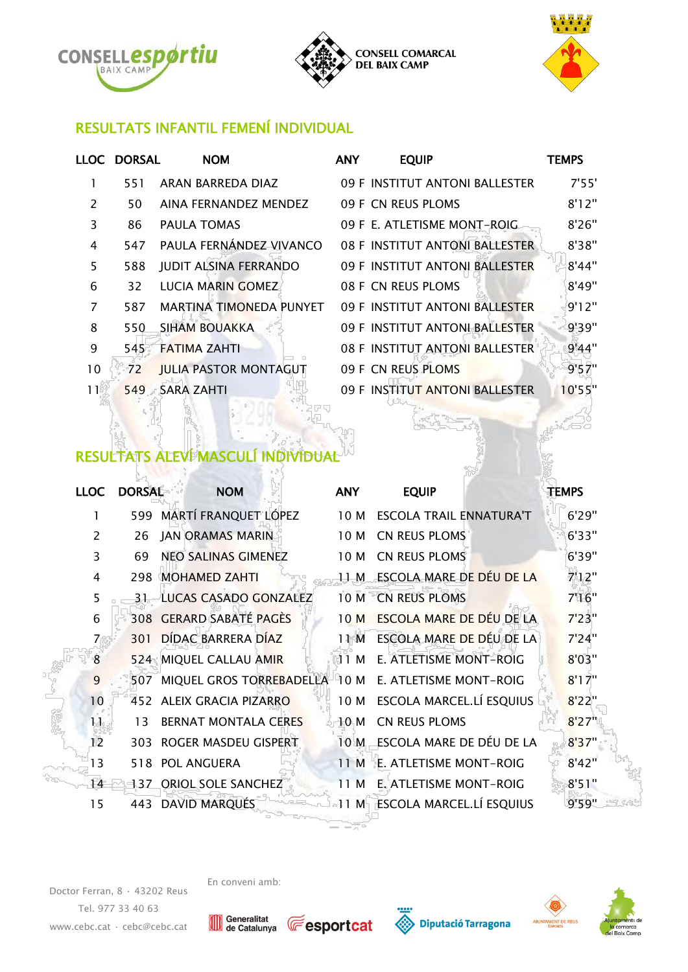





### RESULTATS INFANTIL FEMENÍ INDIVIDUAL

| 7'55'  |
|--------|
| 8'12"  |
| 8'26"  |
| 8'38"  |
| 8'44"  |
| 8'49"  |
| 9'12"  |
| 9'39"  |
| 9'44"  |
| 9'57"  |
| 10'55" |
|        |

## RESULTATS ALEVÍ MASCULÍ INDIVIDUAL

| <b>LLOC</b>    | <b>DORSAL</b> | <b>NOM</b>                                           | <b>ANY</b>      | <b>EQUIP</b>                    | <b>TEMPS</b> |  |
|----------------|---------------|------------------------------------------------------|-----------------|---------------------------------|--------------|--|
| 1              |               | 599 MARTÍ FRANQUET LÓPEZ                             | 10 M            | <b>ESCOLA TRAIL ENNATURA'T</b>  | 6'29"        |  |
| 2              | 26            | <b>JAN ORAMAS MARIN</b>                              | 10 M            | CN REUS PLOMS                   | 6'33"        |  |
| 3              | 69            | NEO SALINAS GIMENEZ                                  | 10 M            | CN REUS PLOMS                   | 6'39"        |  |
| 4              | 298           | <b>MOHAMED ZAHTI</b>                                 | 11 M            | ESCOLA MARE DE DÉU DE LA        | 7'12"        |  |
| 5              | 31            | LUCAS CASADO GONZALEZ                                | 10M             | <b>CN REUS PLOMS</b>            | 7'16''       |  |
| 6              |               | 308 GERARD SABATÉ PAGÈS                              | 10 <sub>M</sub> | <b>ESCOLA MARE DE DÉU DE LA</b> | 7'23"        |  |
| $\overline{7}$ | 301           | DÍDAC BARRERA DÍAZ                                   | 11 M            | ESCOLA MARE DE DÉU DE LA        | 7'24"        |  |
| 8              |               | 524 MIQUEL CALLAU AMIR                               | 11 M            | E. ATLETISME MONT-ROIG          | 8'03"        |  |
| 9              | 507           | MIQUEL GROS TORREBADELLA 10 M E. ATLETISME MONT-ROIG |                 |                                 | 8'17''       |  |
| 10             | 452           | ALEIX GRACIA PIZARRO                                 | 10 M            | ESCOLA MARCEL.LÍ ESQUIUS        | 8'22"        |  |
| 11             | 13            | <b>BERNAT MONTALA CERES</b>                          | 10 M            | <b>CN REUS PLOMS</b>            | 8'27"        |  |
| 12             |               | 303 ROGER MASDEU GISPERT                             | 10 M            | ESCOLA MARE DE DÉU DE LA        | 8'37"        |  |
| 13             |               | 518 POL ANGUERA                                      | 11 M            | E. ATLETISME MONT-ROIG          | 8'42''       |  |
| 14             |               | 137 ORIOL SOLE SANCHEZ                               | 11 M            | E. ATLETISME MONT-ROIG          | 8'51"        |  |
| 15             |               | 443 DAVID MARQUÉS                                    | 11 M            | ESCOLA MARCEL.LÍ ESQUIUS        | 9'59"        |  |

Doctor Ferran, 8 · 43202 Reus Tel. 977 33 40 63 [www.cebc.cat](http://www.cebc.cat/) · [cebc@cebc.cat](mailto:cebc@cebc.cat)









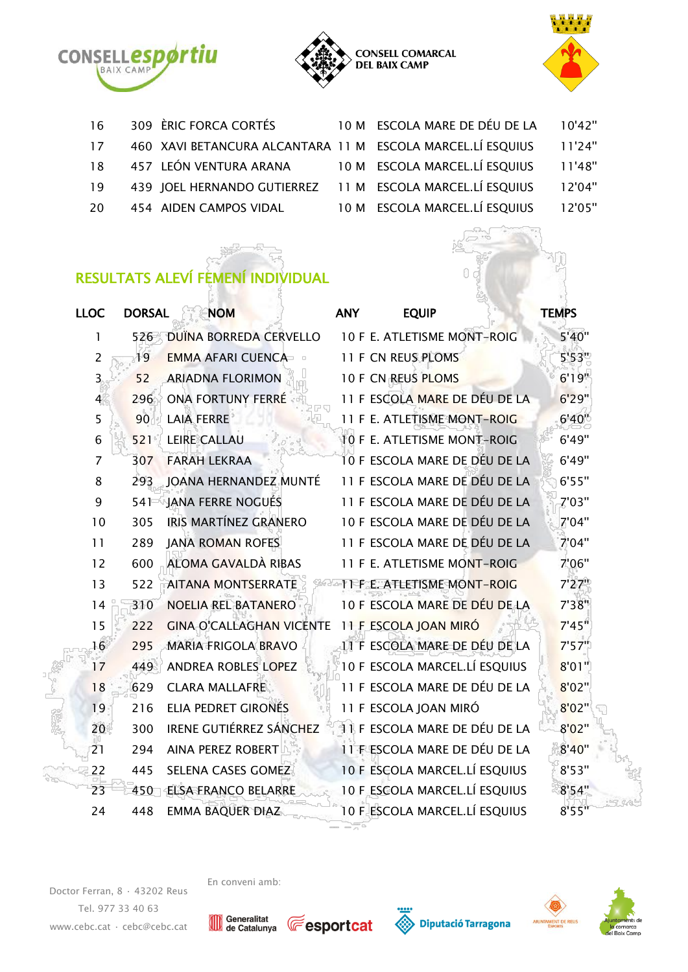





| 16 | 309 ÈRIC FORCA CORTÉS                                      | 10 M ESCOLA MARE DE DÉU DE LA | 10'42" |
|----|------------------------------------------------------------|-------------------------------|--------|
| 17 | 460 XAVI BETANCURA ALCANTARA 11 M ESCOLA MARCEL.LÍ ESQUIUS |                               | 11'24" |
| 18 | 457 LEÓN VENTURA ARANA                                     | 10 M ESCOLA MARCEL.LÍ ESQUIUS | 11'48" |
| 19 | 439 JOEL HERNANDO GUTIERREZ 11 M ESCOLA MARCEL.LÍ ESQUIUS  |                               | 12'04" |
| 20 | 454 AIDEN CAMPOS VIDAL                                     | 10 M ESCOLA MARCEL.LÍ ESQUIUS | 12'05" |
|    |                                                            |                               |        |

## RESULTATS ALEVÍ FEMENÍ INDIVIDUAL

| <b>LLOC</b>    | <b>DORSAL</b> | <b>NOM</b>                      | <b>ANY</b> | <b>EQUIP</b>                  | <b>TEMPS</b> |
|----------------|---------------|---------------------------------|------------|-------------------------------|--------------|
| 1              | 526           | DUÏNA BORREDA CERVELLO          |            | 10 F E. ATLETISME MONT-ROIG   | 5'40"        |
| $\overline{2}$ | 19            | <b>EMMA AFARI CUENCA</b>        |            | 11 F CN REUS PLOMS            | 5'53"        |
| $\overline{3}$ | 52            | <b>ARIADNA FLORIMON</b>         |            | 10 F CN REUS PLOMS            | 6'19''       |
| 4              | 296           | <b>ONA FORTUNY FERRÉ</b>        |            | 11 F ESCOLA MARE DE DÉU DE LA | 6'29"        |
| 5              | 90            | <b>LAIA FERRE</b>               |            | 11 F E. ATLETISME MONT-ROIG   | 6'40''       |
| 6              | 521           | <b>LEIRE CALLAU</b>             |            | 10 F E. ATLETISME MONT-ROIG   | 6'49"        |
| $\overline{7}$ | 307           | <b>FARAH LEKRAA</b>             |            | 10 F ESCOLA MARE DE DÉU DE LA | 6'49"        |
| 8              | 293           | JOANA HERNANDEZ MUNTÉ           |            | 11 F ESCOLA MARE DE DÉU DE LA | 6'55"        |
| 9              | 541           | JANA FERRE NOGUÉS               |            | 11 F ESCOLA MARE DE DÉU DE LA | 7'03"        |
| 10             | 305           | <b>IRIS MARTÍNEZ GRANERO</b>    |            | 10 F ESCOLA MARE DE DÉU DE LA | 7'04"        |
| 11             | 289           | <b>JANA ROMAN ROFES</b>         |            | 11 F ESCOLA MARE DE DÉU DE LA | 7'04"        |
| 12             | 600           | <b>ALOMA GAVALDÀ RIBAS</b>      |            | 11 F E. ATLETISME MONT-ROIG   | 7'06"        |
| 13             | 522           | <b>AITANA MONTSERRATE</b>       |            | 11 F E. ATLETISME MONT-ROIG   | 7'27"        |
| 14             | 310           | <b>NOELIA REL BATANERO</b>      |            | 10 F ESCOLA MARE DE DÉU DE LA | 7'38''       |
| 15             | 222           | <b>GINA O'CALLAGHAN VICENTE</b> |            | 11 F ESCOLA JOAN MIRÓ         | 7'45''       |
| 16             | 295           | <b>MARIA FRIGOLA BRAVO</b>      |            | 11 F ESCOLA MARE DE DÉU DE LA | 7'57"        |
| 17             | 449           | <b>ANDREA ROBLES LOPEZ</b>      |            | 10 F ESCOLA MARCEL.LÍ ESQUIUS | 8'01"        |
| 18             | 629           | <b>CLARA MALLAFRE</b>           |            | 11 F ESCOLA MARE DE DÉU DE LA | 8'02"        |
| 19             | 216           | ELIA PEDRET GIRONÉS             |            | 11 F ESCOLA JOAN MIRÓ         | 8'02"        |
| 20             | 300           | <b>IRENE GUTIÉRREZ SÁNCHEZ</b>  |            | 11 F ESCOLA MARE DE DÉU DE LA | 8'02"        |
| 21             | 294           | <b>AINA PEREZ ROBERT</b>        |            | 11 F ESCOLA MARE DE DÉU DE LA | 8'40''       |
| 22             | 445           | SELENA CASES GOMEZ              |            | 10 F ESCOLA MARCEL.LÍ ESQUIUS | 8'53"        |
| 23             | 450           | <b>ELSA FRANCO BELARRE</b>      |            | 10 F ESCOLA MARCEL.LÍ ESQUIUS | 8'54"        |
| 24             | 448           | <b>EMMA BAQUER DIAZ</b>         |            | 10 F ESCOLA MARCEL.LÍ ESQUIUS | 8'55"        |

Doctor Ferran, 8 · 43202 Reus Tel. 977 33 40 63 [www.cebc.cat](http://www.cebc.cat/) · [cebc@cebc.cat](mailto:cebc@cebc.cat)









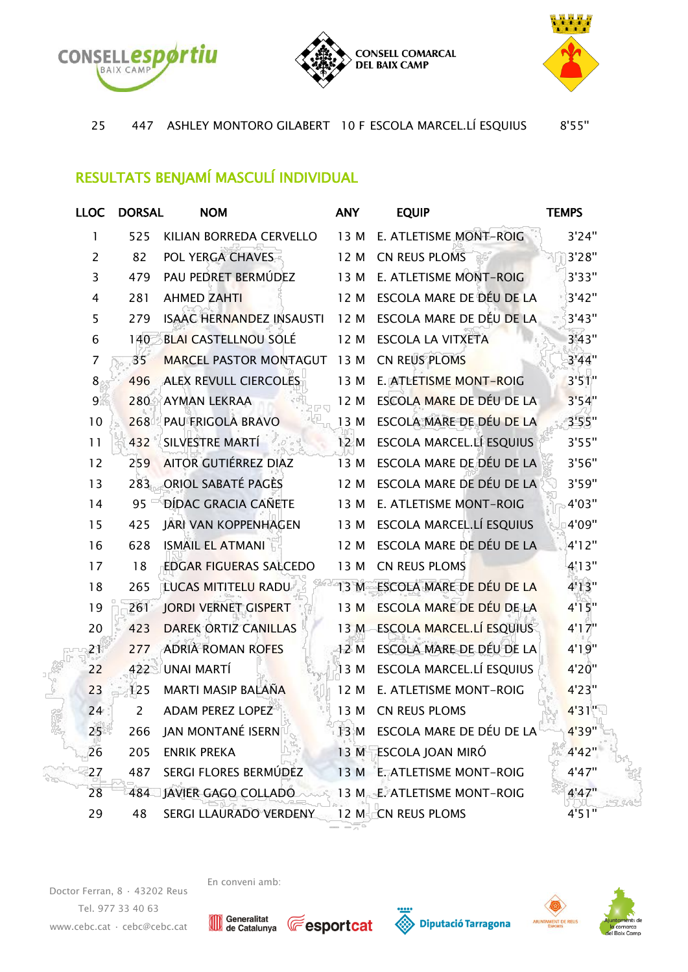





447 ASHLEY MONTORO GILABERT 10 F ESCOLA MARCEL.LÍ ESQUIUS 8'55''

## RESULTATS BENJAMÍ MASCULÍ INDIVIDUAL

| <b>LLOC</b>    | <b>DORSAL</b> | <b>NOM</b>                      | <b>ANY</b> | <b>EQUIP</b>                    | <b>TEMPS</b> |
|----------------|---------------|---------------------------------|------------|---------------------------------|--------------|
| 1              | 525           | KILIAN BORREDA CERVELLO         | 13 M       | E. ATLETISME MONT-ROIG          | 3'24"        |
| $\overline{2}$ | 82            | POL YERGA CHAVES                | 12 M       | CN REUS PLOMS                   | 3'28"        |
| 3              | 479           | PAU PEDRET BERMÚDEZ             | 13 M       | E. ATLETISME MONT-ROIG          | 3'33"        |
| 4              | 281           | <b>AHMED ZAHTI</b>              | 12 M       | ESCOLA MARE DE DÉU DE LA        | 3'42"        |
| 5              | 279           | <b>ISAAC HERNANDEZ INSAUSTI</b> | 12 M       | ESCOLA MARE DE DÉU DE LA        | 3'43"        |
| 6              | 140           | <b>BLAI CASTELLNOU SOLÉ</b>     | 12 M       | <b>ESCOLA LA VITXETA</b>        | 3'43"        |
| 7              | 35            | <b>MARCEL PASTOR MONTAGUT</b>   | 13 M       | CN REUS PLOMS                   | 3'44"        |
| 8              | 496           | <b>ALEX REVULL CIERCOLES</b>    | 13 M       | E. ATLETISME MONT-ROIG          | 3'51''       |
| 9              | 280           | <b>AYMAN LEKRAA</b>             | 12 M       | ESCOLA MARE DE DÉU DE LA        | 3'54"        |
| 10             | 268           | PAU FRIGOLA BRAVO               | 13 M       | ESCOLA MARE DE DÉU DE LA        | 3'55"        |
| 11             | 432           | SILVESTRE MARTÍ                 | 12 M       | ESCOLA MARCEL.LÍ ESQUIUS        | 3'55"        |
| 12             | 259           | <b>AITOR GUTIÉRREZ DIAZ</b>     | 13 M       | ESCOLA MARE DE DÉU DE LA        | 3'56"        |
| 13             | 283           | <b>ORIOL SABATÉ PAGÈS</b>       | 12 M       | ESCOLA MARE DE DÉU DE LA        | 3'59"        |
| 14             | 95            | DÍDAC GRACIA CAÑETE             | 13 M       | E. ATLETISME MONT-ROIG          | 4'03"        |
| 15             | 425           | <b>JARI VAN KOPPENHAGEN</b>     | 13 M       | ESCOLA MARCEL.LÍ ESQUIUS        | 4'09"        |
| 16             | 628           | <b>ISMAIL EL ATMANI</b>         | 12 M       | ESCOLA MARE DE DÉU DE LA        | 4'12"        |
| 17             | 18            | <b>EDGAR FIGUERAS SALCEDO</b>   | 13 M       | CN REUS PLOMS                   | 4'13"        |
| 18             | 265           | <b>LUCAS MITITELU RADU</b>      | 13 M       | ESCOLA MARE DE DÉU DE LA        | 4'13''       |
| 19             | 261           | <b>JORDI VERNET GISPERT</b>     | 13 M       | ESCOLA MARE DE DÉU DE LA        | 4'15''       |
| 20             | 423           | <b>DAREK ORTIZ CANILLAS</b>     | 13M        | <b>ESCOLA MARCEL.LÍ ESQUIUS</b> | 4'17''       |
| 21             | 277           | <b>ADRIÀ ROMAN ROFES</b>        | 12M        | ESCOLA MARE DE DÉU DE LA        | 4'19''       |
| 22             | 422           | UNAI MARTÍ                      | 13 M       | ESCOLA MARCEL.LÍ ESQUIUS        | 4'20"        |
| 23             | 125           | MARTI MASIP BALAÑA              | 12 M       | E. ATLETISME MONT-ROIG          | 4'23"        |
| 24             | 2             | <b>ADAM PEREZ LOPEZ</b>         | 13 M       | CN REUS PLOMS                   | 4'31"        |
| 25             | 266           | JAN MONTANÉ ISERN               | 13 M       | ESCOLA MARE DE DÉU DE LA        | 4'39"        |
| 26             | 205           | <b>ENRIK PREKA</b>              |            | 13 M ESCOLA JOAN MIRÓ           | 4'42"        |
| 27             | 487           | SERGI FLORES BERMÚDEZ           |            | 13 M E. ATLETISME MONT-ROIG     | 4'47"        |
| 28             | 484           | JAVIER GAGO COLLADO             |            | 13 M E. ATLETISME MONT-ROIG     | 4'47''       |
| 29             | 48            | SERGI LLAURADO VERDENY          |            | 12 M CN REUS PLOMS              | 4'51"        |

En conveni amb:

Doctor Ferran, 8 · 43202 Reus Tel. 977 33 40 63 [www.cebc.cat](http://www.cebc.cat/) · [cebc@cebc.cat](mailto:cebc@cebc.cat)

Generalitat<br>de Catalunya







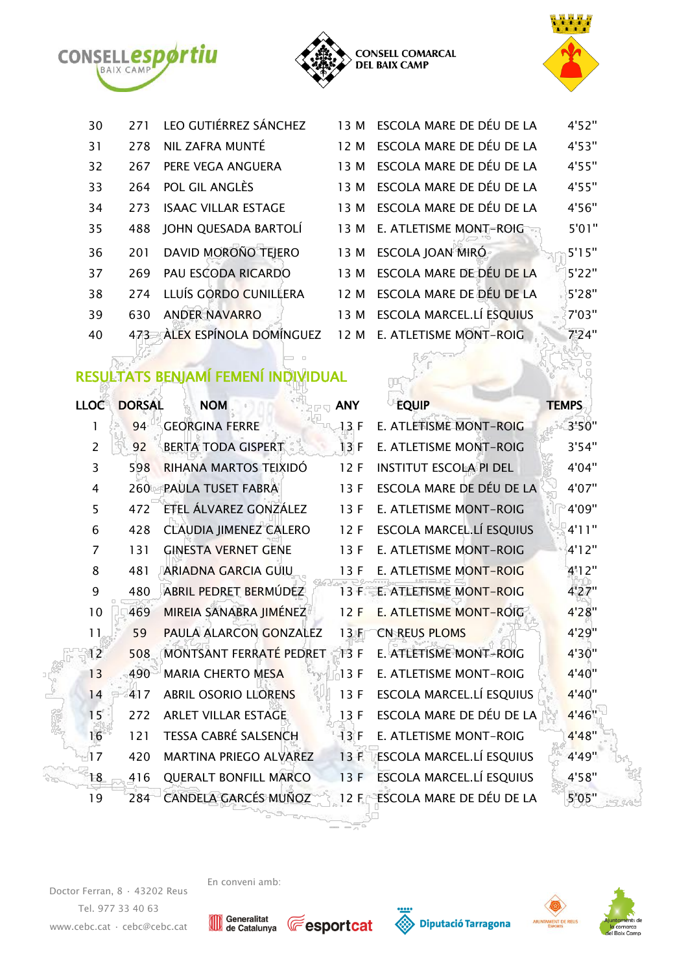





| 30 | 271  | LEO GUTIÉRREZ SÁNCHEZ       | 13 M ESCOLA MARE DE DÉU DE LA | 4'52"  |
|----|------|-----------------------------|-------------------------------|--------|
| 31 | 278  | NIL ZAFRA MUNTÉ             | 12 M ESCOLA MARE DE DÉU DE LA | 4'53'' |
| 32 | 267  | PERE VEGA ANGUERA           | 13 M ESCOLA MARE DE DÉU DE LA | 4'55"  |
| 33 |      | 264 POL GIL ANGLÈS          | 13 M ESCOLA MARE DE DÉU DE LA | 4'55"  |
| 34 | 273  | <b>ISAAC VILLAR ESTAGE</b>  | 13 M ESCOLA MARE DE DÉU DE LA | 4'56"  |
| 35 | 488  | JOHN QUESADA BARTOLÍ        | 13 M E. ATLETISME MONT-ROIG   | 5'01"  |
| 36 |      | 201 DAVID MOROÑO TEJERO     | 13 M ESCOLA JOAN MIRÓ         | 5'15'' |
| 37 | 269. | PAU ESCODA RICARDO          | 13 M ESCOLA MARE DE DÉU DE LA | 5'22"  |
| 38 | 274  | LLUÍS GORDO CUNILLERA       | 12 M ESCOLA MARE DE DÉU DE LA | 5'28'' |
| 39 | 630. | <b>ANDER NAVARRO</b>        | 13 M ESCOLA MARCEL.LÍ ESQUIUS | 7'03"  |
| 40 |      | 473 ALEX ESPÍNOLA DOMÍNGUEZ | 12 M E. ATLETISME MONT-ROIG   | 7'24"  |
|    |      |                             |                               |        |

## RESULTATS BENJAMÍ FEMENÍ INDIVIDUAL

| <b>LLOC</b>    | <b>DORSAL</b> | <b>NOM</b>                    | <b>ANY</b> | <b>EQUIP</b>                  | <b>TEMPS</b> |
|----------------|---------------|-------------------------------|------------|-------------------------------|--------------|
| 1              | 94            | <b>GEORGINA FERRE</b>         | 13F        | E. ATLETISME MONT-ROIG        | 3'50"        |
| $\overline{2}$ | 92            | <b>BERTA TODA GISPERT</b>     | 13F        | <b>E. ATLETISME MONT-ROIG</b> | 3'54"        |
| 3              | 598           | RIHANA MARTOS TEIXIDÓ         | 12F        | INSTITUT ESCOLA PI DEL        | 4'04"        |
| 4              | 260           | PAULA TUSET FABRA             | 13F        | ESCOLA MARE DE DÉU DE LA      | 4'07"        |
| 5              | 472           | ETEL ÁLVAREZ GONZÁLEZ         | 13F        | <b>E. ATLETISME MONT-ROIG</b> | 4'09"        |
| 6              | 428           | <b>CLAUDIA JIMENEZ CALERO</b> | 12F        | ESCOLA MARCEL.LÍ ESQUIUS      | 4'11''       |
| 7              | 131           | <b>GINESTA VERNET GENE</b>    | 13F        | <b>E. ATLETISME MONT-ROIG</b> | 4'12"        |
| 8              | 481           | <b>ARIADNA GARCIA GUIU</b>    | 13F        | E. ATLETISME MONT-ROIG        | 4'12"        |
| 9              | 480           | ABRIL PEDRET BERMÚDEZ         | 13F        | E. ATLETISME MONT-ROIG        | 4'27"        |
| 10             | 469           | MIREIA SANABRA JIMÉNEZ        | 12F        | <b>E. ATLETISME MONT-ROIG</b> | 4'28"        |
| 11             | 59            | PAULA ALARCON GONZALEZ        | 13F        | <b>CN REUS PLOMS</b>          | 4'29"        |
| 12             | 508           | MONTSANT FERRATÉ PEDRET       | 13F        | E. ATLETISME MONT-ROIG        | 4'30"        |
| 13             | 490           | <b>MARIA CHERTO MESA</b>      | 13F        | E. ATLETISME MONT-ROIG        | 4'40"        |
| 14             | 417           | <b>ABRIL OSORIO LLORENS</b>   | 13F        | ESCOLA MARCEL.LÍ ESQUIUS      | 4'40"        |
| 15             | 272           | <b>ARLET VILLAR ESTAGE</b>    | 13F        | ESCOLA MARE DE DÉU DE LA      | 4'46"        |
| 16             | 121           | <b>TESSA CABRÉ SALSENCH</b>   | 13F        | E. ATLETISME MONT-ROIG        | 4'48''       |
| 17             | 420           | MARTINA PRIEGO ALVAREZ        | 13F        | ESCOLA MARCEL.LÍ ESQUIUS      | 4'49"        |
| 18             | 416           | <b>QUERALT BONFILL MARCO</b>  | 13F        | ESCOLA MARCEL.LÍ ESQUIUS      | 4'58"        |
| 19             | 284           | CANDELA GARCÉS MUÑOZ          | 12F        | ESCOLA MARE DE DÉU DE LA      | 5'05"        |

Doctor Ferran, 8 · 43202 Reus Tel. 977 33 40 63 [www.cebc.cat](http://www.cebc.cat/) · [cebc@cebc.cat](mailto:cebc@cebc.cat)









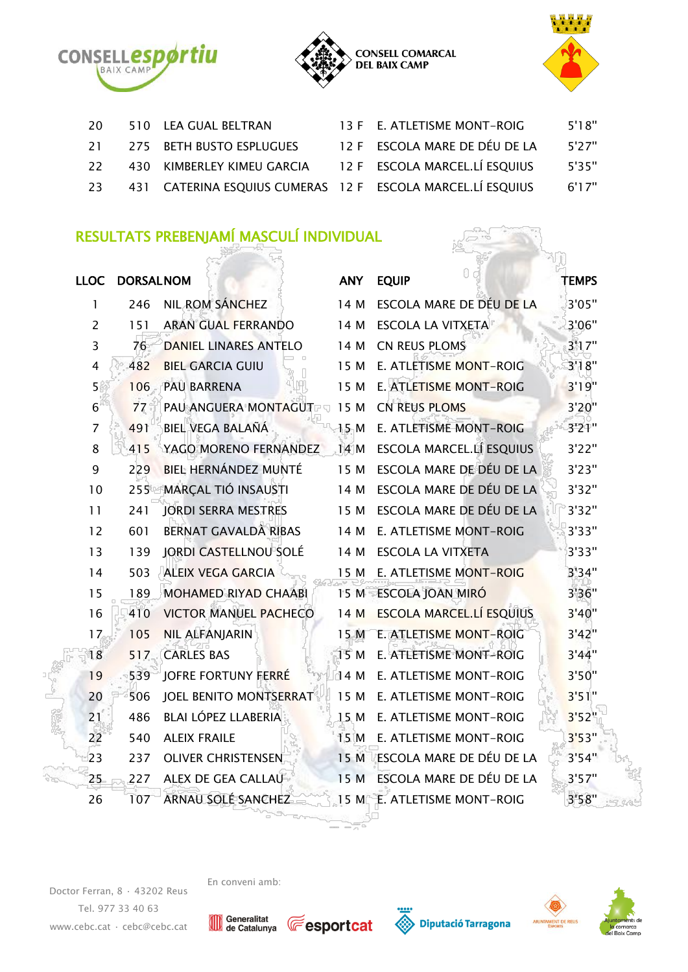





| -20 | 510 LEA GUAL BELTRAN                                       | 13 F E. ATLETISME MONT-ROIG   | 5'18" |
|-----|------------------------------------------------------------|-------------------------------|-------|
|     | 21 275 BETH BUSTO ESPLUGUES                                | 12 F ESCOLA MARE DE DÉU DE LA | 5'27" |
| -22 | 430 KIMBERLEY KIMEU GARCIA 12 F ESCOLA MARCEL.LÍ ESQUIUS   |                               | 5'35" |
| 23  | 431 CATERINA ESQUIUS CUMERAS 12 F ESCOLA MARCEL.LÍ ESQUIUS |                               | 6'17" |

## RESULTATS PREBENJAMÍ MASCULÍ INDIVIDUAL

|                | LLOC DORSALNOM |                              | <b>ANY</b>      | <b>EQUIP</b>                    | <b>TEMPS</b> |
|----------------|----------------|------------------------------|-----------------|---------------------------------|--------------|
| 1              | 246            | NIL ROM SÁNCHEZ              | 14 M            | ESCOLA MARE DE DÉU DE LA        | 3'05"        |
| $\overline{2}$ | 151            | <b>ARAN GUAL FERRANDO</b>    | 14 M            | <b>ESCOLA LA VITXETA</b>        | 3'06"        |
| 3              | 76             | <b>DANIEL LINARES ANTELO</b> | 14 M            | CN REUS PLOMS                   | 3'17''       |
| 4              | 482            | <b>BIEL GARCIA GUIU</b>      | 15 M            | E. ATLETISME MONT-ROIG          | 3'18"        |
| 5              | 106            | <b>PAU BARRENA</b>           | 15 M            | E. ATLETISME MONT-ROIG          | 3'19"        |
| 6              | 77             | PAU ANGUERA MONTAGUT<br>이 정도 | 15 M            | <b>CN REUS PLOMS</b>            | 3'20"        |
| $\overline{7}$ | 491            | BIEL VEGA BALAÑÁ             | 15M             | E. ATLETISME MONT-ROIG          | 3'21"        |
| 8              | 415            | YAGO MORENO FERNANDEZ        | 14M             | ESCOLA MARCEL.LÍ ESQUIUS        | 3'22"        |
| 9              | 229            | BIEL HERNÁNDEZ MUNTÉ         | 15 M            | ESCOLA MARE DE DÉU DE LA        | 3'23"        |
| 10             | 255            | <b>MARÇAL TIÓ INSAUSTI</b>   | 14 M            | ESCOLA MARE DE DÉU DE LA        | 3'32"        |
| 11             | 241            | <b>JORDI SERRA MESTRES</b>   | 15 M            | ESCOLA MARE DE DÉU DE LA        | 3'32"        |
| 12             | 601            | BERNAT GAVALDÀ RIBAS         | 14 M            | E. ATLETISME MONT-ROIG          | 3'33"        |
| 13             | 139            | JORDI CASTELLNOU SOLÉ        | 14 M            | <b>ESCOLA LA VITXETA</b>        | 3'33"        |
| 14             | 503            | <b>ALEIX VEGA GARCIA</b>     | 15 M            | E. ATLETISME MONT-ROIG          | 3'34"        |
| 15             | 189            | <b>MOHAMED RIYAD CHAABI</b>  | 15 M            | <b>ESCOLA JOAN MIRÓ</b>         | 3'36"        |
| 16             | 410            | <b>VICTOR MANUEL PACHECO</b> | 14 M            | <b>ESCOLA MARCEL.LÍ ESQUIUS</b> | 3'40''       |
| 17             | 105            | <b>NIL ALFANJARIN</b>        | 15 M            | E. ATLETISME MONT-ROIG          | 3'42"        |
| 18             | 517            | <b>CARLES BAS</b>            | 15 M            | E. ATLETISME MONT-ROIG          | 3'44"        |
| 19             | 539            | JOFRE FORTUNY FERRÉ          | 14 M            | E. ATLETISME MONT-ROIG          | 3'50"        |
| 20             | 506            | JOEL BENITO MONTSERRAT       | 15 M            | E. ATLETISME MONT-ROIG          | 3'51"        |
| 21             | 486            | BLAI LÓPEZ LLABERIA          | 15 <sub>M</sub> | E. ATLETISME MONT-ROIG          | 3'52"        |
| 22             | 540            | <b>ALEIX FRAILE</b>          | 15 M            | E. ATLETISME MONT-ROIG          | 3'53"        |
| 23             | 237            | <b>OLIVER CHRISTENSEN</b>    | 15 M            | ESCOLA MARE DE DÉU DE LA        | 3'54"        |
| 25             | 227            | ALEX DE GEA CALLAU           | 15 M            | ESCOLA MARE DE DÉU DE LA        | 3'57''       |
| 26             | 107            | ARNAU SOLÉ SANCHEZ           | 15 M            | E. ATLETISME MONT-ROIG          | 3'58"        |

Doctor Ferran, 8 · 43202 Reus Tel. 977 33 40 63 [www.cebc.cat](http://www.cebc.cat/) · [cebc@cebc.cat](mailto:cebc@cebc.cat)











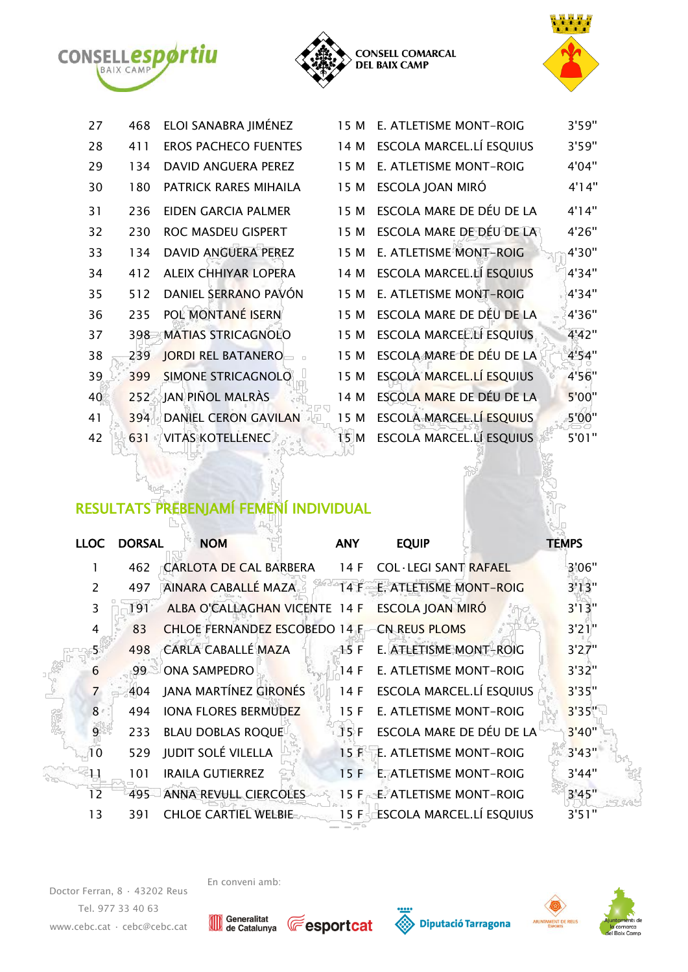





| 27 | 468 | ELOI SANABRA JIMÉNEZ        | 15 M | E. ATLETISME MONT-ROIG          | 3'59" |
|----|-----|-----------------------------|------|---------------------------------|-------|
| 28 | 411 | <b>EROS PACHECO FUENTES</b> | 14 M | ESCOLA MARCEL.LÍ ESQUIUS        | 3'59" |
| 29 | 134 | DAVID ANGUERA PEREZ         | 15 M | E. ATLETISME MONT-ROIG          | 4'04" |
| 30 | 180 | PATRICK RARES MIHAILA       | 15 M | ESCOLA JOAN MIRÓ                | 4'14" |
| 31 | 236 | EIDEN GARCIA PALMER         | 15 M | ESCOLA MARE DE DÉU DE LA        | 4'14" |
| 32 | 230 | ROC MASDEU GISPERT          | 15 M | ESCOLA MARE DE DÉU DE LA        | 4'26" |
| 33 | 134 | DAVID ANGUERA PEREZ         | 15 M | E. ATLETISME MONT-ROIG          | 4'30" |
| 34 | 412 | ALEIX CHHIYAR LOPERA        | 14 M | <b>ESCOLA MARCEL.LÍ ESQUIUS</b> | 4'34" |
| 35 | 512 | DANIEL SERRANO PAVÓN        | 15 M | E. ATLETISME MONT-ROIG          | 4'34" |
| 36 | 235 | POL MONTANÉ ISERN           | 15 M | ESCOLA MARE DE DÉU DE LA        | 4'36" |
| 37 | 398 | <b>MATIAS STRICAGNOLO</b>   | 15 M | ESCOLA MARCEL.LÍ ESQUIUS        | 4'42" |
| 38 | 239 | <b>JORDI REL BATANERO</b>   | 15 M | ESCOLA MARE DE DÉU DE LA        | 4'54" |
| 39 | 399 | SIMONE STRICAGNOLO          | 15 M | <b>ESCOLA MARCEL.LÍ ESQUIUS</b> | 4'56" |
| 40 | 252 | JAN PIÑOL MALRÀS            | 14 M | ESCOLA MARE DE DÉU DE LA        | 5'00" |
| 41 | 394 | <b>DANIEL CERON GAVILAN</b> | 15 M | <b>ESCOLA MARCEL.LÍ ESQUIUS</b> | 5'00" |
| 42 | 631 | <b>VITAS KOTELLENEC</b>     | 15 M | <b>ESCOLA MARCEL.LÍ ESQUIUS</b> | 5'01" |

## RESULTATS PREBENJAMÍ FEMENÍ INDIVIDUAL

| <b>LLOC</b>    | <b>DORSAL</b> | <b>NOM</b>                           | <b>ANY</b> | <b>EQUIP</b>                    | <b>TEMPS</b> |
|----------------|---------------|--------------------------------------|------------|---------------------------------|--------------|
|                |               |                                      |            |                                 |              |
| 1              | 462           | CARLOTA DE CAL BARBERA               | 14 F       | <b>COL·LEGI SANT RAFAEL</b>     | 3'06"        |
| $\overline{2}$ | 497           | AINARA CABALLÉ MAZA                  | 14 F       | E. ATLETISME MONT-ROIG          | 3'13''       |
| 3              | 191           | ALBA O'CALLAGHAN VICENTE 14 F        |            | <b>ESCOLA JOAN MIRÓ</b>         | 3'13"        |
| 4              | 83            | <b>CHLOE FERNANDEZ ESCOBEDO 14 F</b> |            | <b>CN REUS PLOMS</b>            | 3'21"        |
| 5              | 498           | <b>CARLA CABALLÉ MAZA</b>            | 15F        | E. ATLETISME MONT-ROIG          | 3'27"        |
| 6              | 99            | <b>ONA SAMPEDRO</b>                  | 14 F       | E. ATLETISME MONT-ROIG          | 3'32"        |
| $\overline{7}$ | 404           | JANA MARTÍNEZ GIRONÉS                | 14 F       | ESCOLA MARCEL.LÍ ESQUIUS        | 3'35"        |
| 8              | 494           | <b>IONA FLORES BERMUDEZ</b>          | 15 F       | E. ATLETISME MONT-ROIG          | 3'35"        |
| 9              | 233           | <b>BLAU DOBLAS ROQUE</b>             | 15 F       | ESCOLA MARE DE DÉU DE LA        | 3'40''       |
| 10             | 529           | <b>JUDIT SOLÉ VILELLA</b>            | 15F        | E. ATLETISME MONT-ROIG          | 3'43"        |
| 11             | 101           | <b>IRAILA GUTIERREZ</b>              | 15F        | E. ATLETISME MONT-ROIG          | 3'44"        |
| 12             | 495           | <b>ANNA REVULL CIERCOLES</b>         | 15 F       | E. ATLETISME MONT-ROIG          | 3'45"        |
| 13             | 391           | <b>CHLOE CARTIEL WELBIE</b>          | 15 F       | <b>ESCOLA MARCEL.LÍ ESQUIUS</b> | 3'51"        |

Doctor Ferran, 8 · 43202 Reus Tel. 977 33 40 63 [www.cebc.cat](http://www.cebc.cat/) · [cebc@cebc.cat](mailto:cebc@cebc.cat) En conveni amb:

Generalitat<br>de Catalunya







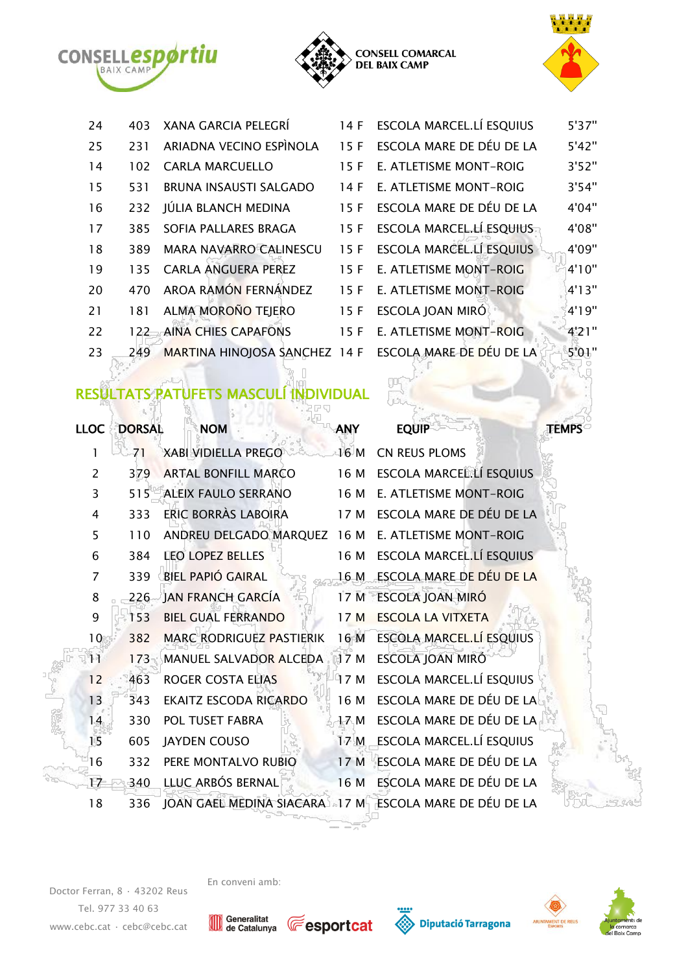





| 24 | 403  | <b>XANA GARCIA PELEGRÍ</b>    | 14F  | ESCOLA MARCEL.LÍ ESQUIUS    | 5'37"  |
|----|------|-------------------------------|------|-----------------------------|--------|
| 25 | 231  | ARIADNA VECINO ESPINOLA       | 15 F | ESCOLA MARE DE DÉU DE LA    | 5'42"  |
| 14 | 102  | <b>CARLA MARCUELLO</b>        | 15 F | E. ATLETISME MONT-ROIG      | 3'52"  |
| 15 | 531  | BRUNA INSAUSTI SALGADO        | 14 F | E. ATLETISME MONT-ROIG      | 3'54"  |
| 16 | 232  | JÚLIA BLANCH MEDINA           | 15 F | ESCOLA MARE DE DÉU DE LA    | 4'04"  |
| 17 | 385. | SOFIA PALLARES BRAGA          | 15 F | ESCOLA MARCEL.LÍ ESQUIUS    | 4'08"  |
| 18 | 389  | <b>MARA NAVARRO CALINESCU</b> | 15 F | ESCOLA MARCEL.LÍ ESQUIUS    | 4'09"  |
| 19 | 135. | <b>CARLA ANGUERA PEREZ</b>    | 15F  | E. ATLETISME MONT-ROIG      | 4'10'' |
| 20 | 470  | AROA RAMÓN FERNÁNDEZ          |      | 15 F E. ATLETISME MONT-ROIG | 4'13'' |
| 21 | 181  | ALMA MOROÑO TEJERO            | 15 F | ESCOLA JOAN MIRÓ            | 4'19"  |
| 22 | 122  | <b>AINA CHIES CAPAFONS</b>    | 15 F | E. ATLETISME MONT-ROIG      | 4'21"  |
| 23 | 249  | MARTINA HINOJOSA SANCHEZ 14 F |      | ESCOLA MARE DE DÉU DE LA    | 5'01"  |

### RESULTATS PATUFETS MASCULÍ INDIVIDUAL

the Most

| <b>LLOC</b>     | <b>DORSAL</b> | <b>NOM</b>                      | <b>ANY</b> | <b>EQUIP</b>                    | <b>TEMPS</b> |
|-----------------|---------------|---------------------------------|------------|---------------------------------|--------------|
| 1               | 71            | <b>XABI VIDIELLA PREGO</b>      | 16 M       | CN REUS PLOMS                   |              |
| $\overline{2}$  | 379           | <b>ARTAL BONFILL MARCO</b>      | 16 M       | ESCOLA MARCEL.LÍ ESQUIUS        |              |
| 3               | 515           | ALEIX FAULO SERRANO             | 16 M       | E. ATLETISME MONT-ROIG          |              |
| 4               | 333           | ERIC BORRÀS LABOIRA             | 17 M       | ESCOLA MARE DE DÉU DE LA        |              |
| 5               | 110           | ANDREU DELGADO MARQUEZ 16 M     |            | E. ATLETISME MONT-ROIG          |              |
| 6               | 384           | <b>LEO LOPEZ BELLES</b>         | 16 M       | ESCOLA MARCEL.LÍ ESQUIUS        |              |
| 7               | 339           | <b>BIEL PAPIÓ GAIRAL</b>        | 16 M       | ESCOLA MARE DE DÉU DE LA        |              |
| 8               | 226           | JAN FRANCH GARCÍA               | 17M        | <b>ESCOLA JOAN MIRÓ</b>         |              |
| 9               | 153           | <b>BIEL GUAL FERRANDO</b>       | 17M        | <b>ESCOLA LA VITXETA</b>        |              |
| 10 <sup>°</sup> | 382           | <b>MARC RODRIGUEZ PASTIERIK</b> | 16 M       | <b>ESCOLA MARCEL.LÍ ESQUIUS</b> |              |
| 11              | 173           | MANUEL SALVADOR ALCEDA          | 17 M       | ESCOLA JOAN MIRÓ                |              |
| 12              | 463           | <b>ROGER COSTA ELIAS</b>        | 17 M       | ESCOLA MARCEL.LÍ ESQUIUS        |              |
| 13              | 343           | <b>EKAITZ ESCODA RICARDO</b>    | 16 M       | ESCOLA MARE DE DÉU DE LA        |              |
| 14              | 330           | POL TUSET FABRA                 | 17 M       | ESCOLA MARE DE DÉU DE LA        |              |
| 15              | 605           | JAYDEN COUSO                    | 17 M       | ESCOLA MARCEL.LÍ ESQUIUS        |              |
| 16              | 332           | PERE MONTALVO RUBIO             | 17M        | ESCOLA MARE DE DÉU DE LA        |              |
| 17              | 340           | LLUC ARBÓS BERNAL               | 16 M       | ESCOLA MARE DE DÉU DE LA        |              |
| 18              | 336           | JOAN GAEL MEDINA SIACARA 17 M   |            | ESCOLA MARE DE DÉU DE LA        |              |

Doctor Ferran, 8 · 43202 Reus Tel. 977 33 40 63 [www.cebc.cat](http://www.cebc.cat/) · [cebc@cebc.cat](mailto:cebc@cebc.cat)









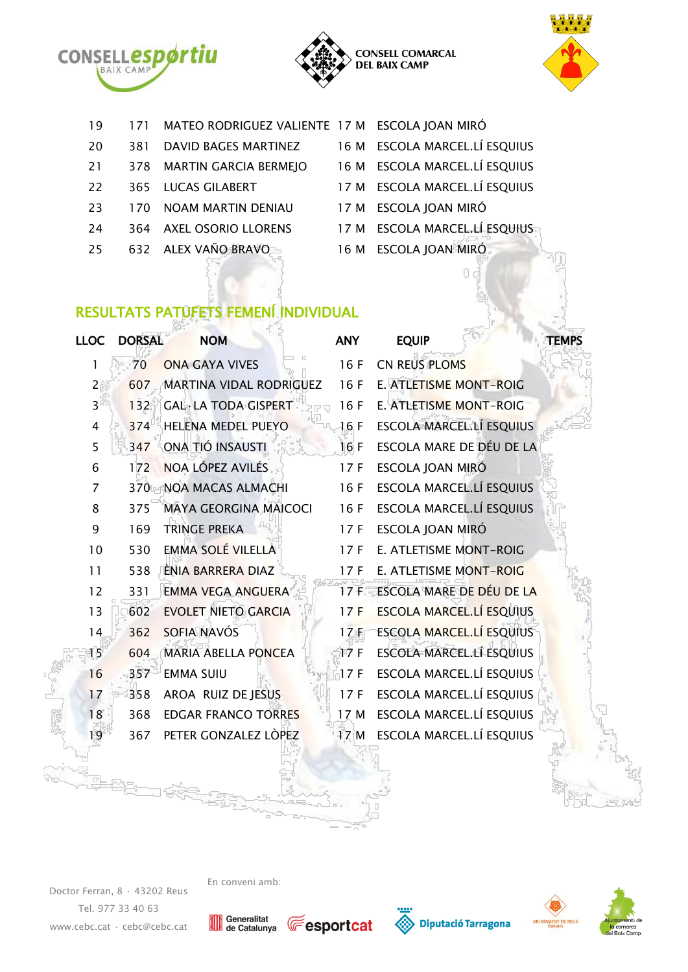





| 19 | 171 | MATEO RODRIGUEZ VALIENTE 17 M ESCOLA JOAN MIRÓ |                               |
|----|-----|------------------------------------------------|-------------------------------|
| 20 | 381 | <b>DAVID BAGES MARTINEZ</b>                    | 16 M ESCOLA MARCEL.LÍ ESQUIUS |
| 21 | 378 | <b>MARTIN GARCIA BERMEJO</b>                   | 16 M ESCOLA MARCEL.LÍ ESQUIUS |
| 22 | 365 | <b>LUCAS GILABERT</b>                          | 17 M ESCOLA MARCEL.LÍ ESQUIUS |
| 23 | 170 | <b>NOAM MARTIN DENIAU</b>                      | 17 M ESCOLA JOAN MIRÓ         |
| 24 | 364 | <b>AXEL OSORIO LLORENS</b>                     | 17 M ESCOLA MARCEL.LÍ ESQUIUS |
| 25 |     | 632 ALEX VAÑO BRAVO                            | 16 M ESCOLA JOAN MIRÓ         |

## RESULTATS PATUFETS FEMENÍ INDIVIDUAL

| <b>LLOC</b> | <b>DORSAL</b> | <b>NOM</b>                   | <b>ANY</b> | <b>EQUIP</b>                    | <b>TEMPS</b> |
|-------------|---------------|------------------------------|------------|---------------------------------|--------------|
| 1           | 70            | <b>ONA GAYA VIVES</b>        | 16F        | <b>CN REUS PLOMS</b>            |              |
| 2           | 607           | MARTINA VIDAL RODRIGUEZ      | 16F        | E. ATLETISME MONT-ROIG          |              |
| 3           | 132           | <b>GAL·LA TODA GISPERT</b>   | 16F        | <b>E. ATLETISME MONT-ROIG</b>   |              |
| 4           | 374           | <b>HELENA MEDEL PUEYO</b>    | 16F        | <b>ESCOLA MARCEL.LÍ ESQUIUS</b> |              |
| 5           | 347           | ONA TIÓ INSAUSTI             | 16 F       | ESCOLA MARE DE DÉU DE LA        |              |
| 6           | 172           | NOA LÓPEZ AVILÉS             | 17F        | ESCOLA JOAN MIRÓ                |              |
| 7           | 370           | <b>NOA MACAS ALMACHI</b>     | 16F        | ESCOLA MARCEL.LÍ ESQUIUS        |              |
| 8           | 375           | <b>MAYA GEORGINA MAICOCI</b> | 16F        | ESCOLA MARCEL.LÍ ESQUIUS        |              |
| 9           | 169           | <b>TRINGE PREKA</b>          | 17F        | ESCOLA JOAN MIRÓ                |              |
| 10          | 530           | EMMA SOLÉ VILELLA            | 17F        | <b>E. ATLETISME MONT-ROIG</b>   |              |
| 11          | 538           | ÈNIA BARRERA DIAZ            | 17F        | E. ATLETISME MONT-ROIG          |              |
| 12          | 331           | <b>EMMA VEGA ANGUERA</b>     | 17F        | ESCOLA MARE DE DÉU DE LA        |              |
| 13          | 602           | <b>EVOLET NIETO GARCIA</b>   | 17F        | <b>ESCOLA MARCEL.LÍ ESQUIUS</b> |              |
| 14          | 362           | SOFIA NAVÓS                  | 17F        | <b>ESCOLA MARCEL.LÍ ESQUIUS</b> |              |
| 15          | 604           | <b>MARIA ABELLA PONCEA</b>   | 17F        | ESCOLA MARCEL.LÍ ESQUIUS        |              |
| 16          | 357           | <b>EMMA SUIU</b>             | 17F        | ESCOLA MARCEL.LÍ ESQUIUS        |              |
| 17          | 358           | AROA RUIZ DE JESUS           | 17F        | ESCOLA MARCEL.LÍ ESQUIUS        |              |
| 18          | 368           | <b>EDGAR FRANCO TORRES</b>   | 17 M       | ESCOLA MARCEL.LÍ ESQUIUS        |              |
| 19          | 367           | PETER GONZALEZ LÒPEZ         | 17 M       | ESCOLA MARCEL.LÍ ESQUIUS        |              |
|             |               |                              |            |                                 |              |

Doctor Ferran, 8 · 43202 Reus Tel. 977 33 40 63 [www.cebc.cat](http://www.cebc.cat/) · [cebc@cebc.cat](mailto:cebc@cebc.cat)